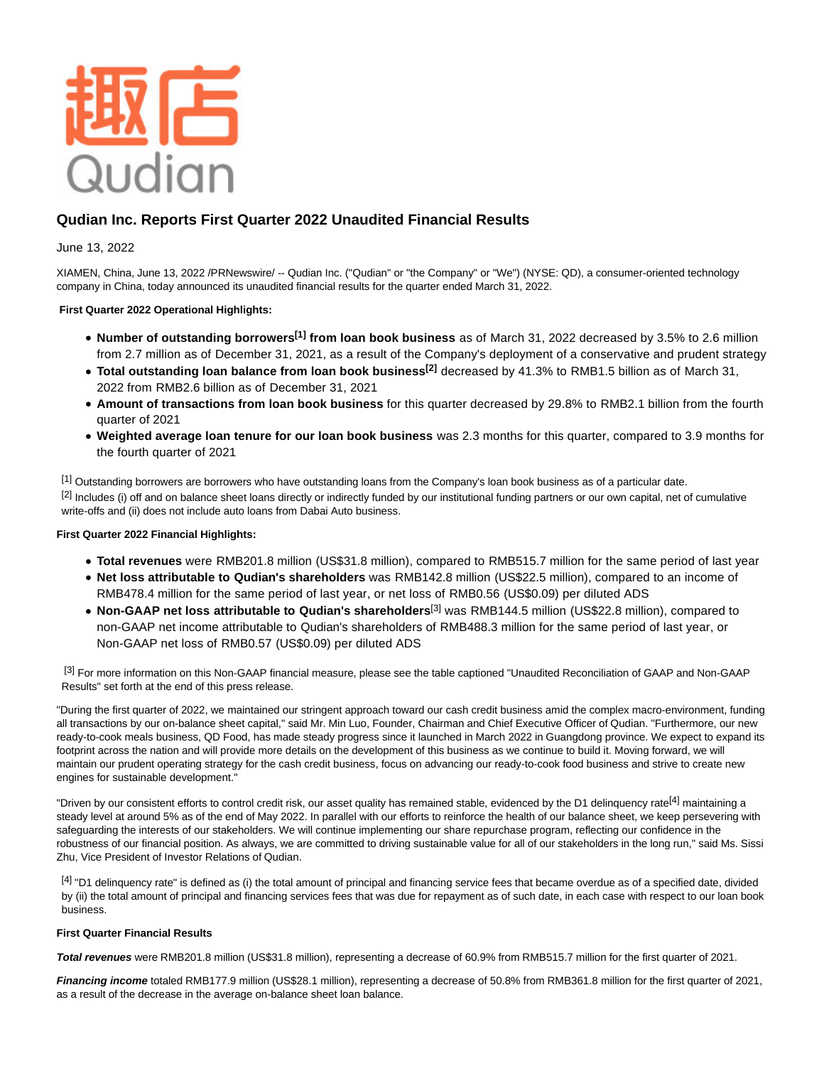

# **Qudian Inc. Reports First Quarter 2022 Unaudited Financial Results**

# June 13, 2022

XIAMEN, China, June 13, 2022 /PRNewswire/ -- Qudian Inc. ("Qudian" or "the Company" or "We") (NYSE: QD), a consumer-oriented technology company in China, today announced its unaudited financial results for the quarter ended March 31, 2022.

## **First Quarter 2022 Operational Highlights:**

- **Number of outstanding borrowers[1] from loan book business** as of March 31, 2022 decreased by 3.5% to 2.6 million from 2.7 million as of December 31, 2021, as a result of the Company's deployment of a conservative and prudent strategy
- **Total outstanding loan balance from loan book business[2]** decreased by 41.3% to RMB1.5 billion as of March 31, 2022 from RMB2.6 billion as of December 31, 2021
- **Amount of transactions from loan book business** for this quarter decreased by 29.8% to RMB2.1 billion from the fourth quarter of 2021
- **Weighted average loan tenure for our loan book business** was 2.3 months for this quarter, compared to 3.9 months for the fourth quarter of 2021

<sup>[1]</sup> Outstanding borrowers are borrowers who have outstanding loans from the Company's loan book business as of a particular date.  $^{[2]}$  Includes (i) off and on balance sheet loans directly or indirectly funded by our institutional funding partners or our own capital, net of cumulative write-offs and (ii) does not include auto loans from Dabai Auto business.

# **First Quarter 2022 Financial Highlights:**

- **Total revenues** were RMB201.8 million (US\$31.8 million), compared to RMB515.7 million for the same period of last year
- **Net loss attributable to Qudian's shareholders** was RMB142.8 million (US\$22.5 million), compared to an income of RMB478.4 million for the same period of last year, or net loss of RMB0.56 (US\$0.09) per diluted ADS
- **Non-GAAP net loss attributable to Qudian's shareholders**[3] was RMB144.5 million (US\$22.8 million), compared to non-GAAP net income attributable to Qudian's shareholders of RMB488.3 million for the same period of last year, or Non-GAAP net loss of RMB0.57 (US\$0.09) per diluted ADS

[3] For more information on this Non-GAAP financial measure, please see the table captioned "Unaudited Reconciliation of GAAP and Non-GAAP Results" set forth at the end of this press release.

"During the first quarter of 2022, we maintained our stringent approach toward our cash credit business amid the complex macro-environment, funding all transactions by our on-balance sheet capital," said Mr. Min Luo, Founder, Chairman and Chief Executive Officer of Qudian. "Furthermore, our new ready-to-cook meals business, QD Food, has made steady progress since it launched in March 2022 in Guangdong province. We expect to expand its footprint across the nation and will provide more details on the development of this business as we continue to build it. Moving forward, we will maintain our prudent operating strategy for the cash credit business, focus on advancing our ready-to-cook food business and strive to create new engines for sustainable development."

"Driven by our consistent efforts to control credit risk, our asset quality has remained stable, evidenced by the D1 delinquency rate<sup>[4]</sup> maintaining a steady level at around 5% as of the end of May 2022. In parallel with our efforts to reinforce the health of our balance sheet, we keep persevering with safeguarding the interests of our stakeholders. We will continue implementing our share repurchase program, reflecting our confidence in the robustness of our financial position. As always, we are committed to driving sustainable value for all of our stakeholders in the long run," said Ms. Sissi Zhu, Vice President of Investor Relations of Qudian.

[4] "D1 delinquency rate" is defined as (i) the total amount of principal and financing service fees that became overdue as of a specified date, divided by (ii) the total amount of principal and financing services fees that was due for repayment as of such date, in each case with respect to our loan book business.

## **First Quarter Financial Results**

**Total revenues** were RMB201.8 million (US\$31.8 million), representing a decrease of 60.9% from RMB515.7 million for the first quarter of 2021.

Financing income totaled RMB177.9 million (US\$28.1 million), representing a decrease of 50.8% from RMB361.8 million for the first quarter of 2021, as a result of the decrease in the average on-balance sheet loan balance.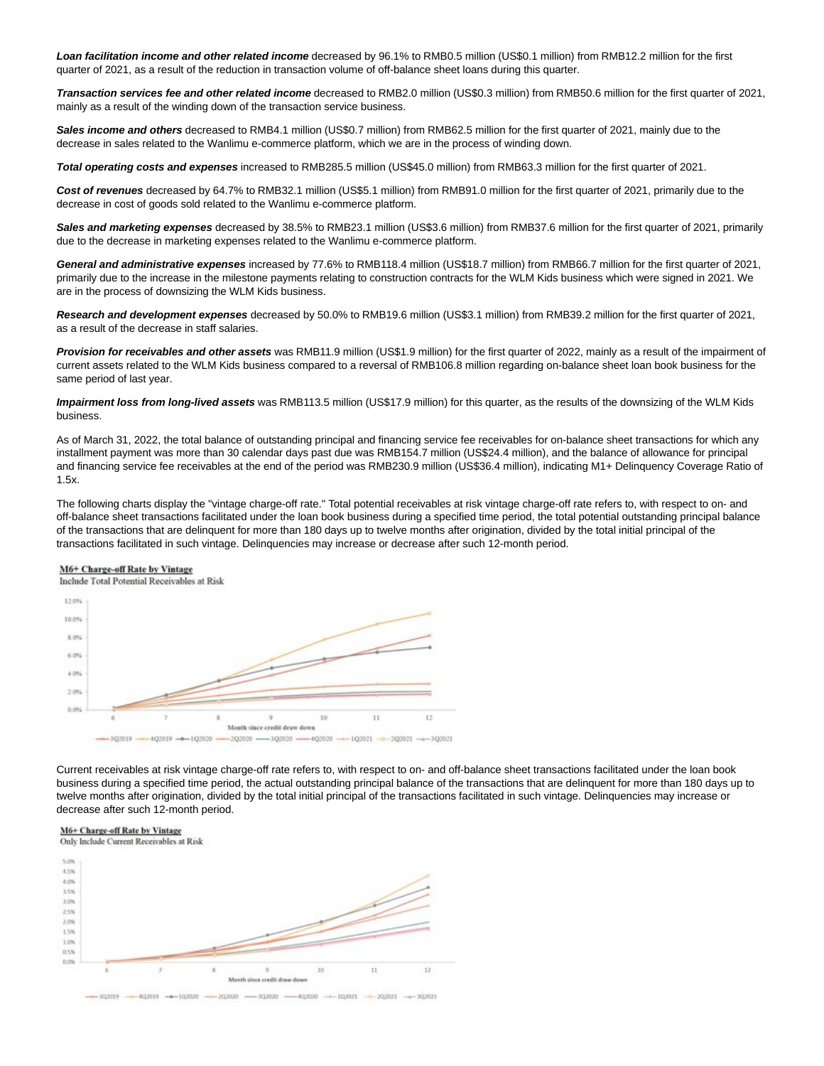Loan facilitation income and other related income decreased by 96.1% to RMB0.5 million (US\$0.1 million) from RMB12.2 million for the first quarter of 2021, as a result of the reduction in transaction volume of off-balance sheet loans during this quarter.

**Transaction services fee and other related income** decreased to RMB2.0 million (US\$0.3 million) from RMB50.6 million for the first quarter of 2021, mainly as a result of the winding down of the transaction service business.

**Sales income and others** decreased to RMB4.1 million (US\$0.7 million) from RMB62.5 million for the first quarter of 2021, mainly due to the decrease in sales related to the Wanlimu e-commerce platform, which we are in the process of winding down.

**Total operating costs and expenses** increased to RMB285.5 million (US\$45.0 million) from RMB63.3 million for the first quarter of 2021.

**Cost of revenues** decreased by 64.7% to RMB32.1 million (US\$5.1 million) from RMB91.0 million for the first quarter of 2021, primarily due to the decrease in cost of goods sold related to the Wanlimu e-commerce platform.

**Sales and marketing expenses** decreased by 38.5% to RMB23.1 million (US\$3.6 million) from RMB37.6 million for the first quarter of 2021, primarily due to the decrease in marketing expenses related to the Wanlimu e-commerce platform.

**General and administrative expenses** increased by 77.6% to RMB118.4 million (US\$18.7 million) from RMB66.7 million for the first quarter of 2021, primarily due to the increase in the milestone payments relating to construction contracts for the WLM Kids business which were signed in 2021. We are in the process of downsizing the WLM Kids business.

**Research and development expenses** decreased by 50.0% to RMB19.6 million (US\$3.1 million) from RMB39.2 million for the first quarter of 2021, as a result of the decrease in staff salaries.

**Provision for receivables and other assets** was RMB11.9 million (US\$1.9 million) for the first quarter of 2022, mainly as a result of the impairment of current assets related to the WLM Kids business compared to a reversal of RMB106.8 million regarding on-balance sheet loan book business for the same period of last year.

**Impairment loss from long-lived assets** was RMB113.5 million (US\$17.9 million) for this quarter, as the results of the downsizing of the WLM Kids business.

As of March 31, 2022, the total balance of outstanding principal and financing service fee receivables for on-balance sheet transactions for which any installment payment was more than 30 calendar days past due was RMB154.7 million (US\$24.4 million), and the balance of allowance for principal and financing service fee receivables at the end of the period was RMB230.9 million (US\$36.4 million), indicating M1+ Delinquency Coverage Ratio of 1.5x.

The following charts display the "vintage charge-off rate." Total potential receivables at risk vintage charge-off rate refers to, with respect to on- and off-balance sheet transactions facilitated under the loan book business during a specified time period, the total potential outstanding principal balance of the transactions that are delinquent for more than 180 days up to twelve months after origination, divided by the total initial principal of the transactions facilitated in such vintage. Delinquencies may increase or decrease after such 12-month period.

### M6+ Charge-off Rate by Vintage

Include Total Potential Receivables at Risk



Current receivables at risk vintage charge-off rate refers to, with respect to on- and off-balance sheet transactions facilitated under the loan book business during a specified time period, the actual outstanding principal balance of the transactions that are delinquent for more than 180 days up to twelve months after origination, divided by the total initial principal of the transactions facilitated in such vintage. Delinquencies may increase or decrease after such 12-month period.

#### M6+ Charge-off Rate by Vintage

Only Include Current Receivables at Risk



 $--102019$   $--002029$   $--102020$   $--202020$   $- -302020 -40,000$  -  $-10,0021$  - 20,0021 -  $-10,0021$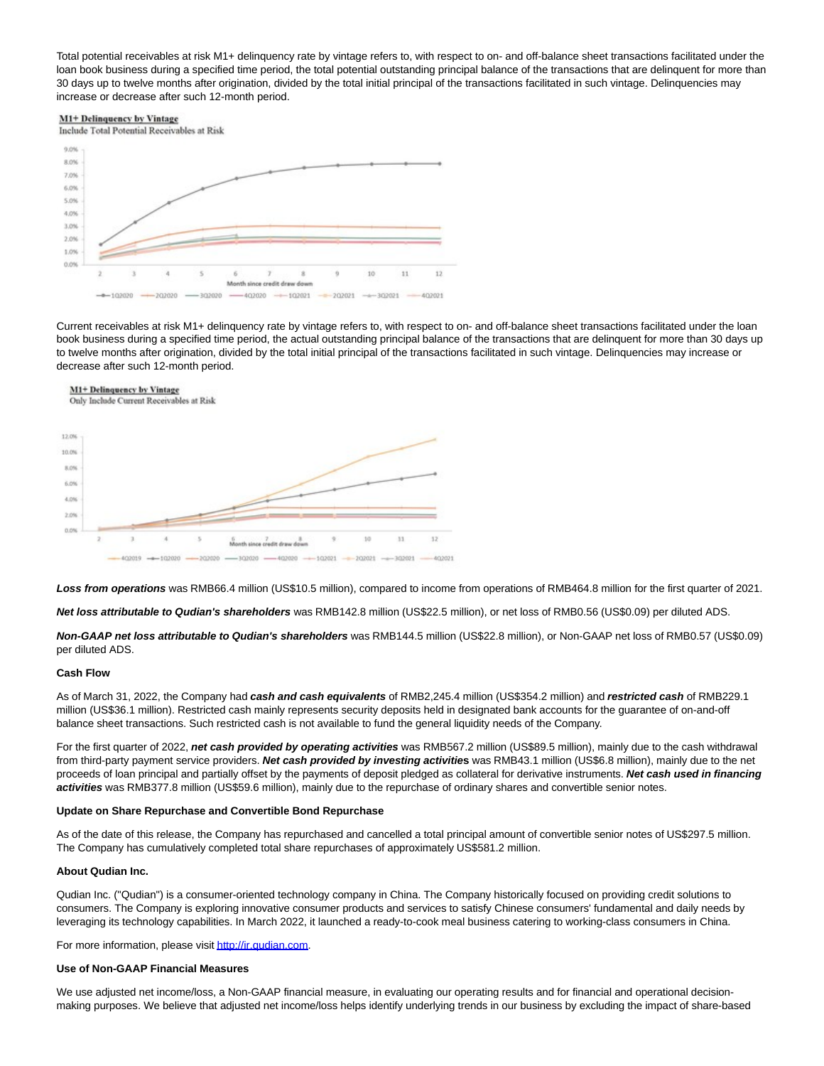Total potential receivables at risk M1+ delinquency rate by vintage refers to, with respect to on- and off-balance sheet transactions facilitated under the loan book business during a specified time period, the total potential outstanding principal balance of the transactions that are delinquent for more than 30 days up to twelve months after origination, divided by the total initial principal of the transactions facilitated in such vintage. Delinquencies may increase or decrease after such 12-month period.

#### M1+ Delinquency by Vintage

Include Total Potential Receivables at Risk



Current receivables at risk M1+ delinquency rate by vintage refers to, with respect to on- and off-balance sheet transactions facilitated under the loan book business during a specified time period, the actual outstanding principal balance of the transactions that are delinquent for more than 30 days up to twelve months after origination, divided by the total initial principal of the transactions facilitated in such vintage. Delinquencies may increase or decrease after such 12-month period.

#### M1+ Delinquency by Vintage Only Include Current Receivables at Risk



402021 402019  $-102020$ 102021  $-202021$  $-4 - 302021$ 

**Loss from operations** was RMB66.4 million (US\$10.5 million), compared to income from operations of RMB464.8 million for the first quarter of 2021.

32

11

**Net loss attributable to Qudian's shareholders** was RMB142.8 million (US\$22.5 million), or net loss of RMB0.56 (US\$0.09) per diluted ADS.

to.

**Non-GAAP net loss attributable to Qudian's shareholders** was RMB144.5 million (US\$22.8 million), or Non-GAAP net loss of RMB0.57 (US\$0.09) per diluted ADS.

### **Cash Flow**

2.09 0.09

As of March 31, 2022, the Company had **cash and cash equivalents** of RMB2,245.4 million (US\$354.2 million) and **restricted cash** of RMB229.1 million (US\$36.1 million). Restricted cash mainly represents security deposits held in designated bank accounts for the guarantee of on-and-off balance sheet transactions. Such restricted cash is not available to fund the general liquidity needs of the Company.

For the first quarter of 2022, **net cash provided by operating activities** was RMB567.2 million (US\$89.5 million), mainly due to the cash withdrawal from third-party payment service providers. **Net cash provided by investing activities** was RMB43.1 million (US\$6.8 million), mainly due to the net proceeds of loan principal and partially offset by the payments of deposit pledged as collateral for derivative instruments. **Net cash used in financing activities** was RMB377.8 million (US\$59.6 million), mainly due to the repurchase of ordinary shares and convertible senior notes.

#### **Update on Share Repurchase and Convertible Bond Repurchase**

As of the date of this release, the Company has repurchased and cancelled a total principal amount of convertible senior notes of US\$297.5 million. The Company has cumulatively completed total share repurchases of approximately US\$581.2 million.

#### **About Qudian Inc.**

Qudian Inc. ("Qudian") is a consumer-oriented technology company in China. The Company historically focused on providing credit solutions to consumers. The Company is exploring innovative consumer products and services to satisfy Chinese consumers' fundamental and daily needs by leveraging its technology capabilities. In March 2022, it launched a ready-to-cook meal business catering to working-class consumers in China.

For more information, please visi[t http://ir.qudian.com.](http://ir.qudian.com/)

### **Use of Non-GAAP Financial Measures**

We use adjusted net income/loss, a Non-GAAP financial measure, in evaluating our operating results and for financial and operational decisionmaking purposes. We believe that adjusted net income/loss helps identify underlying trends in our business by excluding the impact of share-based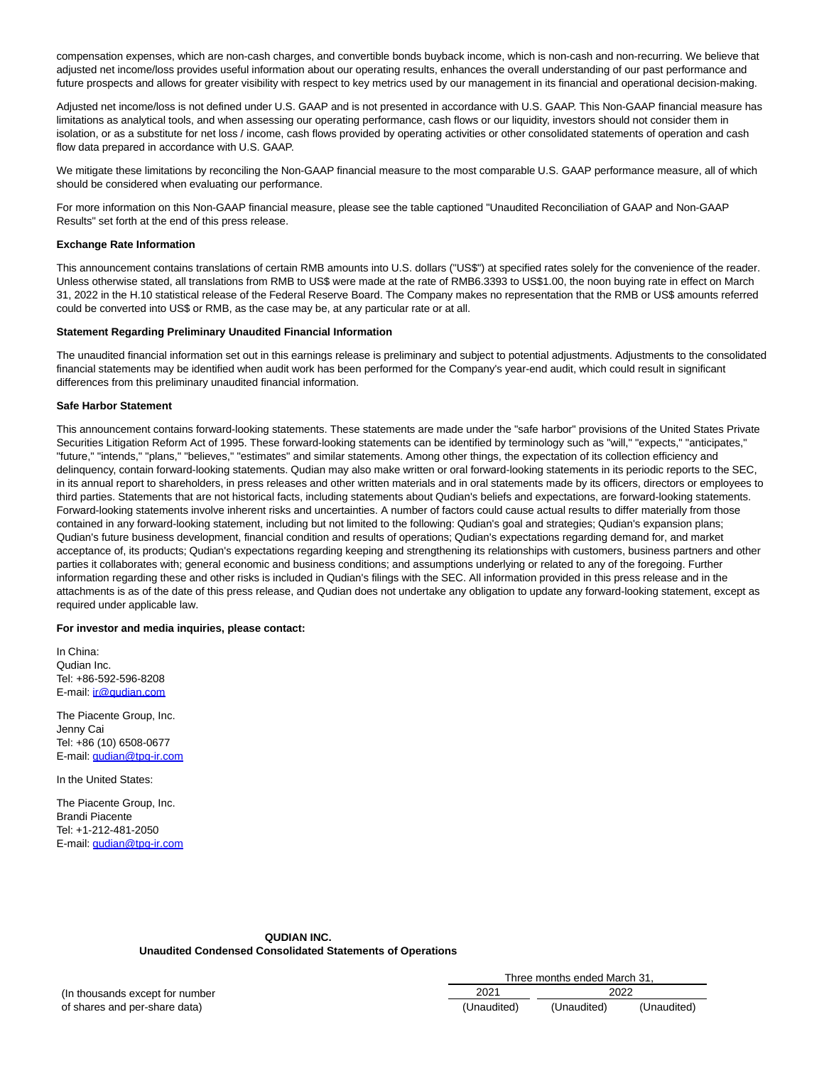compensation expenses, which are non-cash charges, and convertible bonds buyback income, which is non-cash and non-recurring. We believe that adjusted net income/loss provides useful information about our operating results, enhances the overall understanding of our past performance and future prospects and allows for greater visibility with respect to key metrics used by our management in its financial and operational decision-making.

Adjusted net income/loss is not defined under U.S. GAAP and is not presented in accordance with U.S. GAAP. This Non-GAAP financial measure has limitations as analytical tools, and when assessing our operating performance, cash flows or our liquidity, investors should not consider them in isolation, or as a substitute for net loss / income, cash flows provided by operating activities or other consolidated statements of operation and cash flow data prepared in accordance with U.S. GAAP.

We mitigate these limitations by reconciling the Non-GAAP financial measure to the most comparable U.S. GAAP performance measure, all of which should be considered when evaluating our performance.

For more information on this Non-GAAP financial measure, please see the table captioned "Unaudited Reconciliation of GAAP and Non-GAAP Results" set forth at the end of this press release.

### **Exchange Rate Information**

This announcement contains translations of certain RMB amounts into U.S. dollars ("US\$") at specified rates solely for the convenience of the reader. Unless otherwise stated, all translations from RMB to US\$ were made at the rate of RMB6.3393 to US\$1.00, the noon buying rate in effect on March 31, 2022 in the H.10 statistical release of the Federal Reserve Board. The Company makes no representation that the RMB or US\$ amounts referred could be converted into US\$ or RMB, as the case may be, at any particular rate or at all.

## **Statement Regarding Preliminary Unaudited Financial Information**

The unaudited financial information set out in this earnings release is preliminary and subject to potential adjustments. Adjustments to the consolidated financial statements may be identified when audit work has been performed for the Company's year-end audit, which could result in significant differences from this preliminary unaudited financial information.

### **Safe Harbor Statement**

This announcement contains forward-looking statements. These statements are made under the "safe harbor" provisions of the United States Private Securities Litigation Reform Act of 1995. These forward-looking statements can be identified by terminology such as "will," "expects," "anticipates," "future," "intends," "plans," "believes," "estimates" and similar statements. Among other things, the expectation of its collection efficiency and delinquency, contain forward-looking statements. Qudian may also make written or oral forward-looking statements in its periodic reports to the SEC, in its annual report to shareholders, in press releases and other written materials and in oral statements made by its officers, directors or employees to third parties. Statements that are not historical facts, including statements about Qudian's beliefs and expectations, are forward-looking statements. Forward-looking statements involve inherent risks and uncertainties. A number of factors could cause actual results to differ materially from those contained in any forward-looking statement, including but not limited to the following: Qudian's goal and strategies; Qudian's expansion plans; Qudian's future business development, financial condition and results of operations; Qudian's expectations regarding demand for, and market acceptance of, its products; Qudian's expectations regarding keeping and strengthening its relationships with customers, business partners and other parties it collaborates with; general economic and business conditions; and assumptions underlying or related to any of the foregoing. Further information regarding these and other risks is included in Qudian's filings with the SEC. All information provided in this press release and in the attachments is as of the date of this press release, and Qudian does not undertake any obligation to update any forward-looking statement, except as required under applicable law.

### **For investor and media inquiries, please contact:**

In China: Qudian Inc. Tel: +86-592-596-8208 E-mail: [ir@qudian.com](mailto:ir@qudian.com)

The Piacente Group, Inc. Jenny Cai Tel: +86 (10) 6508-0677 E-mail: [qudian@tpg-ir.com](mailto:qudian@tpg-ir.com)

In the United States:

The Piacente Group, Inc. Brandi Piacente Tel: +1-212-481-2050 E-mail: [qudian@tpg-ir.com](mailto:qudian@tpg-ir.com)

### **QUDIAN INC. Unaudited Condensed Consolidated Statements of Operations**

|                                  | Three months ended March 31. |             |             |
|----------------------------------|------------------------------|-------------|-------------|
| (In thousands except for number) | 2021                         | 2022        |             |
| of shares and per-share data)    | (Unaudited)                  | (Unaudited) | (Unaudited) |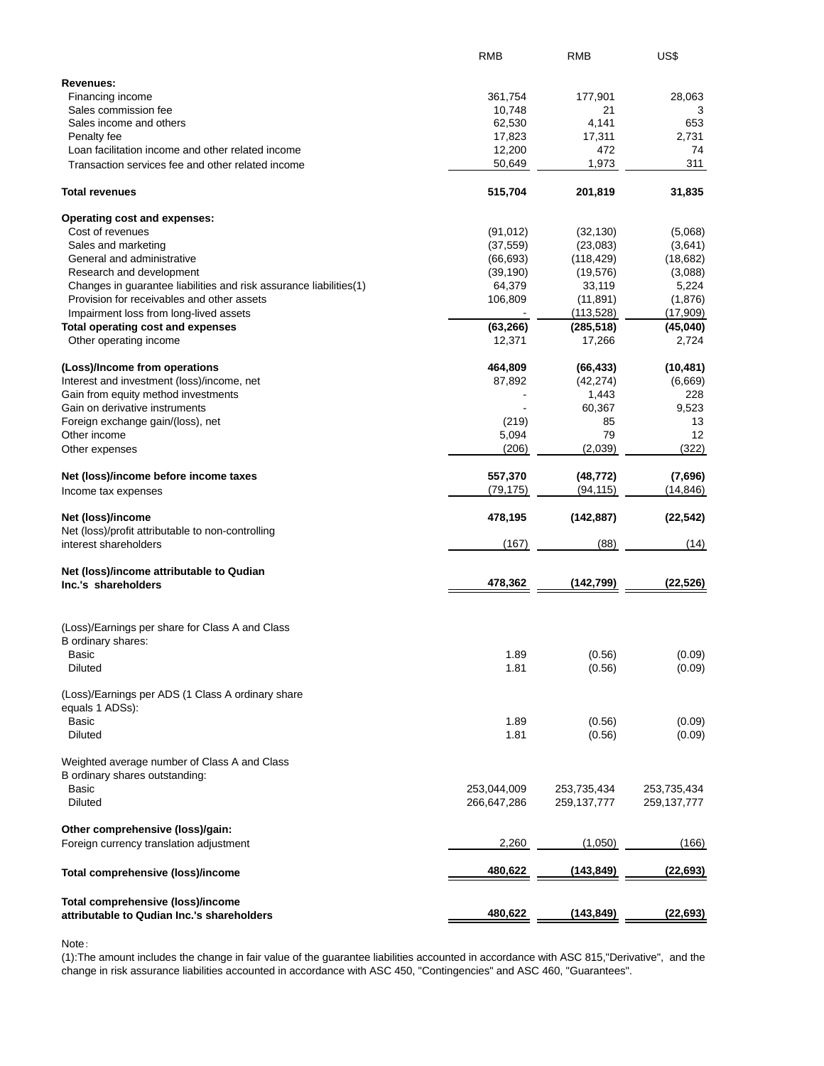|                                                                                 | <b>RMB</b>  | RMB           | US\$          |
|---------------------------------------------------------------------------------|-------------|---------------|---------------|
| Revenues:                                                                       |             |               |               |
| Financing income                                                                | 361,754     | 177,901       | 28,063        |
| Sales commission fee                                                            | 10,748      | 21            | З             |
| Sales income and others                                                         | 62,530      | 4,141         | 653           |
| Penalty fee                                                                     | 17,823      | 17,311        | 2,731         |
| Loan facilitation income and other related income                               | 12,200      | 472           | 74            |
| Transaction services fee and other related income                               | 50,649      | 1,973         | 311           |
| <b>Total revenues</b>                                                           | 515,704     | 201,819       | 31,835        |
| Operating cost and expenses:                                                    |             |               |               |
| Cost of revenues                                                                | (91, 012)   | (32, 130)     | (5,068)       |
| Sales and marketing                                                             | (37, 559)   | (23,083)      | (3,641)       |
| General and administrative                                                      | (66, 693)   | (118, 429)    | (18,682)      |
| Research and development                                                        | (39, 190)   | (19, 576)     | (3,088)       |
| Changes in guarantee liabilities and risk assurance liabilities(1)              | 64,379      | 33,119        | 5,224         |
| Provision for receivables and other assets                                      | 106,809     | (11, 891)     | (1,876)       |
| Impairment loss from long-lived assets                                          |             | (113, 528)    | (17,909)      |
| <b>Total operating cost and expenses</b>                                        | (63, 266)   | (285, 518)    | (45, 040)     |
| Other operating income                                                          | 12,371      | 17,266        | 2,724         |
| (Loss)/Income from operations                                                   | 464,809     | (66, 433)     | (10, 481)     |
| Interest and investment (loss)/income, net                                      | 87,892      | (42, 274)     | (6,669)       |
| Gain from equity method investments                                             |             | 1,443         | 228           |
| Gain on derivative instruments                                                  |             | 60,367        | 9,523         |
| Foreign exchange gain/(loss), net                                               | (219)       | 85            | 13            |
| Other income                                                                    | 5,094       | 79            | 12            |
| Other expenses                                                                  | (206)       | (2,039)       | (322)         |
| Net (loss)/income before income taxes                                           | 557,370     | (48, 772)     | (7,696)       |
| Income tax expenses                                                             | (79, 175)   | (94, 115)     | (14, 846)     |
| Net (loss)/income                                                               | 478,195     | (142, 887)    | (22, 542)     |
| Net (loss)/profit attributable to non-controlling                               |             |               |               |
| interest shareholders                                                           | (167)       | (88)          | (14)          |
| Net (loss)/income attributable to Qudian                                        |             |               |               |
| Inc.'s shareholders                                                             | 478,362     | (142, 799)    | (22, 526)     |
| (Loss)/Earnings per share for Class A and Class                                 |             |               |               |
| B ordinary shares:                                                              |             |               |               |
| Basic                                                                           | 1.89        | (0.56)        | (0.09)        |
| Diluted                                                                         | 1.81        | (0.56)        | (0.09)        |
| (Loss)/Earnings per ADS (1 Class A ordinary share                               |             |               |               |
| equals 1 ADSs):                                                                 |             |               |               |
| Basic                                                                           | 1.89        | (0.56)        | (0.09)        |
| <b>Diluted</b>                                                                  | 1.81        | (0.56)        | (0.09)        |
| Weighted average number of Class A and Class                                    |             |               |               |
| B ordinary shares outstanding:                                                  |             |               |               |
| Basic                                                                           | 253,044,009 | 253,735,434   | 253,735,434   |
| <b>Diluted</b>                                                                  | 266,647,286 | 259, 137, 777 | 259, 137, 777 |
| Other comprehensive (loss)/gain:                                                |             |               |               |
| Foreign currency translation adjustment                                         | 2,260       | (1,050)       | (166)         |
| Total comprehensive (loss)/income                                               | 480,622     | (143, 849)    | (22, 693)     |
|                                                                                 |             |               |               |
| Total comprehensive (loss)/income<br>attributable to Qudian Inc.'s shareholders | 480,622     | (143, 849)    | (22, 693)     |
|                                                                                 |             |               |               |

Note:

(1):The amount includes the change in fair value of the guarantee liabilities accounted in accordance with ASC 815,"Derivative", and the change in risk assurance liabilities accounted in accordance with ASC 450, "Contingencies" and ASC 460, "Guarantees".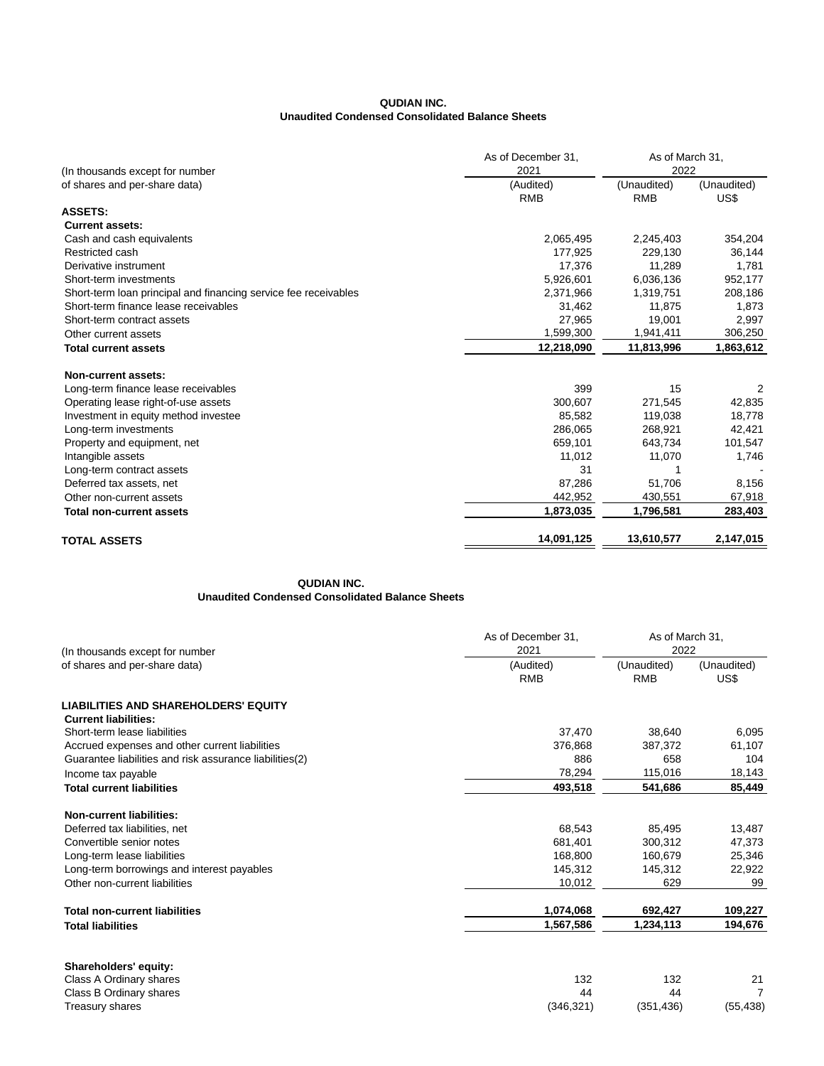# **QUDIAN INC. Unaudited Condensed Consolidated Balance Sheets**

| (In thousands except for number                                 | As of December 31,<br>2021 |                           | As of March 31,<br>2022 |  |
|-----------------------------------------------------------------|----------------------------|---------------------------|-------------------------|--|
| of shares and per-share data)                                   | (Audited)<br><b>RMB</b>    | (Unaudited)<br><b>RMB</b> | (Unaudited)<br>US\$     |  |
| <b>ASSETS:</b>                                                  |                            |                           |                         |  |
| <b>Current assets:</b>                                          |                            |                           |                         |  |
| Cash and cash equivalents                                       | 2,065,495                  | 2,245,403                 | 354,204                 |  |
| Restricted cash                                                 | 177.925                    | 229,130                   | 36,144                  |  |
| Derivative instrument                                           | 17,376                     | 11,289                    | 1,781                   |  |
| Short-term investments                                          | 5,926,601                  | 6,036,136                 | 952,177                 |  |
| Short-term loan principal and financing service fee receivables | 2,371,966                  | 1,319,751                 | 208,186                 |  |
| Short-term finance lease receivables                            | 31,462                     | 11,875                    | 1,873                   |  |
| Short-term contract assets                                      | 27,965                     | 19.001                    | 2,997                   |  |
| Other current assets                                            | 1,599,300                  | 1,941,411                 | 306,250                 |  |
| <b>Total current assets</b>                                     | 12,218,090                 | 11,813,996                | 1,863,612               |  |
| Non-current assets:                                             |                            |                           |                         |  |
| Long-term finance lease receivables                             | 399                        | 15                        | 2                       |  |
| Operating lease right-of-use assets                             | 300,607                    | 271,545                   | 42,835                  |  |
| Investment in equity method investee                            | 85.582                     | 119,038                   | 18,778                  |  |
| Long-term investments                                           | 286,065                    | 268,921                   | 42,421                  |  |
| Property and equipment, net                                     | 659,101                    | 643,734                   | 101,547                 |  |
| Intangible assets                                               | 11,012                     | 11,070                    | 1,746                   |  |
| Long-term contract assets                                       | 31                         |                           |                         |  |
| Deferred tax assets, net                                        | 87,286                     | 51,706                    | 8,156                   |  |
| Other non-current assets                                        | 442,952                    | 430,551                   | 67,918                  |  |
| Total non-current assets                                        | 1,873,035                  | 1,796,581                 | 283,403                 |  |
| <b>TOTAL ASSETS</b>                                             | 14,091,125                 | 13,610,577                | 2,147,015               |  |

# **QUDIAN INC. Unaudited Condensed Consolidated Balance Sheets**

| (In thousands except for number                         | As of December 31,<br>2021 | As of March 31,<br>2022   |                     |
|---------------------------------------------------------|----------------------------|---------------------------|---------------------|
| of shares and per-share data)                           | (Audited)<br><b>RMB</b>    | (Unaudited)<br><b>RMB</b> | (Unaudited)<br>US\$ |
| <b>LIABILITIES AND SHAREHOLDERS' EQUITY</b>             |                            |                           |                     |
| <b>Current liabilities:</b>                             |                            |                           |                     |
| Short-term lease liabilities                            | 37,470                     | 38.640                    | 6,095               |
| Accrued expenses and other current liabilities          | 376,868                    | 387,372                   | 61,107              |
| Guarantee liabilities and risk assurance liabilities(2) | 886                        | 658                       | 104                 |
| Income tax payable                                      | 78.294                     | 115,016                   | 18,143              |
| <b>Total current liabilities</b>                        | 493,518                    | 541,686                   | 85,449              |
| <b>Non-current liabilities:</b>                         |                            |                           |                     |
| Deferred tax liabilities, net                           | 68.543                     | 85.495                    | 13,487              |
| Convertible senior notes                                | 681,401                    | 300,312                   | 47,373              |
| Long-term lease liabilities                             | 168,800                    | 160,679                   | 25,346              |
| Long-term borrowings and interest payables              | 145,312                    | 145,312                   | 22,922              |
| Other non-current liabilities                           | 10,012                     | 629                       | 99                  |
| <b>Total non-current liabilities</b>                    | 1,074,068                  | 692,427                   | 109,227             |
| <b>Total liabilities</b>                                | 1,567,586                  | 1,234,113                 | 194,676             |
| Shareholders' equity:                                   |                            |                           |                     |
|                                                         | 132                        | 132                       | 21                  |
| Class A Ordinary shares<br>Class B Ordinary shares      | 44                         | 44                        | 7                   |
| Treasury shares                                         | (346, 321)                 | (351, 436)                | (55, 438)           |
|                                                         |                            |                           |                     |